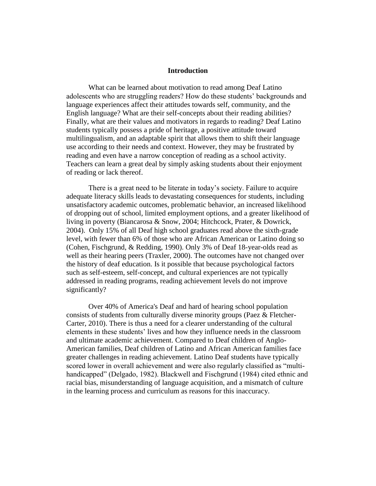## **Introduction**

What can be learned about motivation to read among Deaf Latino adolescents who are struggling readers? How do these students' backgrounds and language experiences affect their attitudes towards self, community, and the English language? What are their self-concepts about their reading abilities? Finally, what are their values and motivators in regards to reading? Deaf Latino students typically possess a pride of heritage, a positive attitude toward multilingualism, and an adaptable spirit that allows them to shift their language use according to their needs and context. However, they may be frustrated by reading and even have a narrow conception of reading as a school activity. Teachers can learn a great deal by simply asking students about their enjoyment of reading or lack thereof.

There is a great need to be literate in today's society. Failure to acquire adequate literacy skills leads to devastating consequences for students, including unsatisfactory academic outcomes, problematic behavior, an increased likelihood of dropping out of school, limited employment options, and a greater likelihood of living in poverty (Biancarosa & Snow, 2004; Hitchcock, Prater, & Dowrick, 2004). Only 15% of all Deaf high school graduates read above the sixth-grade level, with fewer than 6% of those who are African American or Latino doing so (Cohen, Fischgrund, & Redding, 1990). Only 3% of Deaf 18-year-olds read as well as their hearing peers (Traxler, 2000). The outcomes have not changed over the history of deaf education. Is it possible that because psychological factors such as self-esteem, self-concept, and cultural experiences are not typically addressed in reading programs, reading achievement levels do not improve significantly?

Over 40% of America's Deaf and hard of hearing school population consists of students from culturally diverse minority groups (Paez & Fletcher-Carter, 2010). There is thus a need for a clearer understanding of the cultural elements in these students' lives and how they influence needs in the classroom and ultimate academic achievement. Compared to Deaf children of Anglo-American families, Deaf children of Latino and African American families face greater challenges in reading achievement. Latino Deaf students have typically scored lower in overall achievement and were also regularly classified as "multihandicapped" (Delgado, 1982). Blackwell and Fischgrund (1984) cited ethnic and racial bias, misunderstanding of language acquisition, and a mismatch of culture in the learning process and curriculum as reasons for this inaccuracy.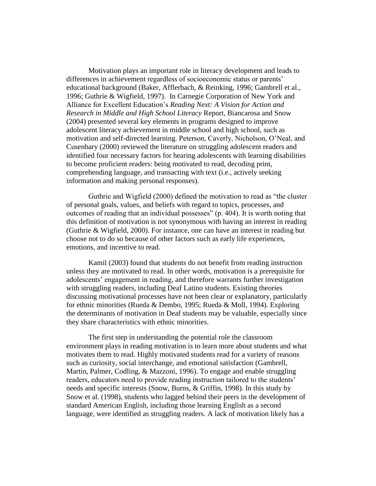Motivation plays an important role in literacy development and leads to differences in achievement regardless of socioeconomic status or parents' educational background (Baker, Afflerbach, & Reinking, 1996; Gambrell et al., 1996; Guthrie & Wigfield, 1997). In Carnegie Corporation of New York and Alliance for Excellent Education's *Reading Next: A Vision for Action and Research in Middle and High School Literacy* Report, Biancarosa and Snow (2004) presented several key elements in programs designed to improve adolescent literacy achievement in middle school and high school, such as motivation and self-directed learning. Peterson, Caverly, Nicholson, O'Neal, and Cusenbary (2000) reviewed the literature on struggling adolescent readers and identified four necessary factors for hearing adolescents with learning disabilities to become proficient readers: being motivated to read, decoding print, comprehending language, and transacting with text (i.e., actively seeking information and making personal responses).

Guthrie and Wigfield (2000) defined the motivation to read as "the cluster of personal goals, values, and beliefs with regard to topics, processes, and outcomes of reading that an individual possesses" (p. 404). It is worth noting that this definition of motivation is not synonymous with having an interest in reading (Guthrie & Wigfield, 2000). For instance, one can have an interest in reading but choose not to do so because of other factors such as early life experiences, emotions, and incentive to read.

Kamil (2003) found that students do not benefit from reading instruction unless they are motivated to read. In other words, motivation is a prerequisite for adolescents' engagement in reading, and therefore warrants further investigation with struggling readers, including Deaf Latino students. Existing theories discussing motivational processes have not been clear or explanatory, particularly for ethnic minorities (Rueda & Dembo, 1995; Rueda & Moll, 1994). Exploring the determinants of motivation in Deaf students may be valuable, especially since they share characteristics with ethnic minorities.

The first step in understanding the potential role the classroom environment plays in reading motivation is to learn more about students and what motivates them to read. Highly motivated students read for a variety of reasons such as curiosity, social interchange, and emotional satisfaction (Gambrell, Martin, Palmer, Codling, & Mazzoni, 1996). To engage and enable struggling readers, educators need to provide reading instruction tailored to the students' needs and specific interests (Snow, Burns, & Griffin, 1998). In this study by Snow et al. (1998), students who lagged behind their peers in the development of standard American English, including those learning English as a second language, were identified as struggling readers. A lack of motivation likely has a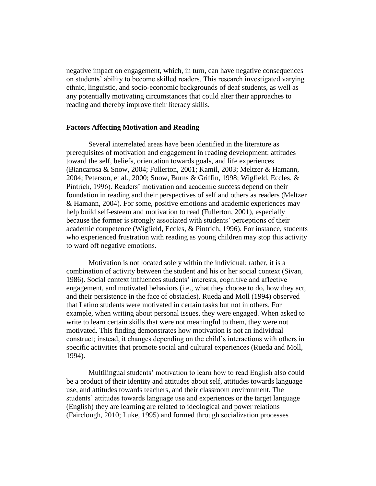negative impact on engagement, which, in turn, can have negative consequences on students' ability to become skilled readers. This research investigated varying ethnic, linguistic, and socio-economic backgrounds of deaf students, as well as any potentially motivating circumstances that could alter their approaches to reading and thereby improve their literacy skills.

#### **Factors Affecting Motivation and Reading**

Several interrelated areas have been identified in the literature as prerequisites of motivation and engagement in reading development: attitudes toward the self, beliefs, orientation towards goals, and life experiences (Biancarosa & Snow, 2004; Fullerton, 2001; Kamil, 2003; Meltzer & Hamann, 2004; Peterson, et al., 2000; Snow, Burns & Griffin, 1998; Wigfield, Eccles, & Pintrich, 1996). Readers' motivation and academic success depend on their foundation in reading and their perspectives of self and others as readers (Meltzer & Hamann, 2004). For some, positive emotions and academic experiences may help build self-esteem and motivation to read (Fullerton, 2001), especially because the former is strongly associated with students' perceptions of their academic competence (Wigfield, Eccles, & Pintrich, 1996). For instance, students who experienced frustration with reading as young children may stop this activity to ward off negative emotions.

Motivation is not located solely within the individual; rather, it is a combination of activity between the student and his or her social context (Sivan, 1986). Social context influences students' interests, cognitive and affective engagement, and motivated behaviors (i.e., what they choose to do, how they act, and their persistence in the face of obstacles). Rueda and Moll (1994) observed that Latino students were motivated in certain tasks but not in others. For example, when writing about personal issues, they were engaged. When asked to write to learn certain skills that were not meaningful to them, they were not motivated. This finding demonstrates how motivation is not an individual construct; instead, it changes depending on the child's interactions with others in specific activities that promote social and cultural experiences (Rueda and Moll, 1994).

Multilingual students' motivation to learn how to read English also could be a product of their identity and attitudes about self, attitudes towards language use, and attitudes towards teachers, and their classroom environment. The students' attitudes towards language use and experiences or the target language (English) they are learning are related to ideological and power relations (Fairclough, 2010; Luke, 1995) and formed through socialization processes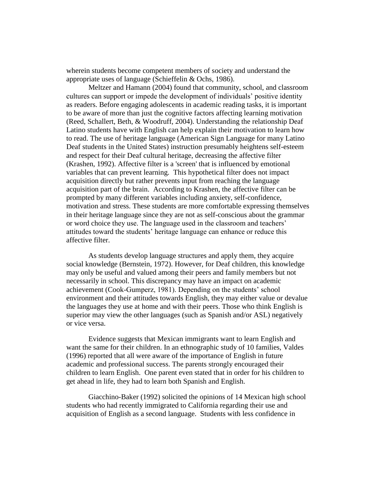wherein students become competent members of society and understand the appropriate uses of language (Schieffelin & Ochs, 1986).

Meltzer and Hamann (2004) found that community, school, and classroom cultures can support or impede the development of individuals' positive identity as readers. Before engaging adolescents in academic reading tasks, it is important to be aware of more than just the cognitive factors affecting learning motivation (Reed, Schallert, Beth, & Woodruff, 2004). Understanding the relationship Deaf Latino students have with English can help explain their motivation to learn how to read. The use of heritage language (American Sign Language for many Latino Deaf students in the United States) instruction presumably heightens self-esteem and respect for their Deaf cultural heritage, decreasing the affective filter (Krashen, 1992). Affective filter is a 'screen' that is influenced by emotional variables that can prevent learning. This hypothetical filter does not impact acquisition directly but rather prevents input from reaching the language acquisition part of the brain. According to Krashen, the affective filter can be prompted by many different variables including anxiety, self-confidence, motivation and stress. These students are more comfortable expressing themselves in their heritage language since they are not as self-conscious about the grammar or word choice they use. The language used in the classroom and teachers' attitudes toward the students' heritage language can enhance or reduce this affective filter.

As students develop language structures and apply them, they acquire social knowledge (Bernstein, 1972). However, for Deaf children, this knowledge may only be useful and valued among their peers and family members but not necessarily in school. This discrepancy may have an impact on academic achievement (Cook-Gumperz, 1981). Depending on the students' school environment and their attitudes towards English, they may either value or devalue the languages they use at home and with their peers. Those who think English is superior may view the other languages (such as Spanish and/or ASL) negatively or vice versa.

Evidence suggests that Mexican immigrants want to learn English and want the same for their children. In an ethnographic study of 10 families, Valdes (1996) reported that all were aware of the importance of English in future academic and professional success. The parents strongly encouraged their children to learn English. One parent even stated that in order for his children to get ahead in life, they had to learn both Spanish and English.

Giacchino-Baker (1992) solicited the opinions of 14 Mexican high school students who had recently immigrated to California regarding their use and acquisition of English as a second language. Students with less confidence in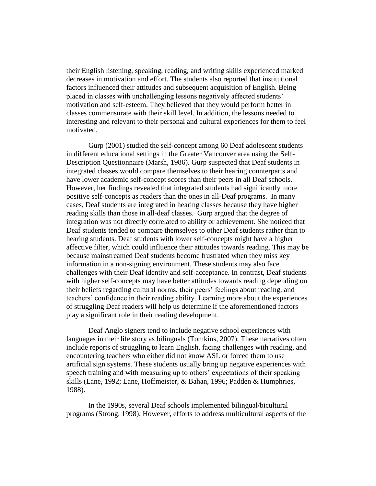their English listening, speaking, reading, and writing skills experienced marked decreases in motivation and effort. The students also reported that institutional factors influenced their attitudes and subsequent acquisition of English. Being placed in classes with unchallenging lessons negatively affected students' motivation and self-esteem. They believed that they would perform better in classes commensurate with their skill level. In addition, the lessons needed to interesting and relevant to their personal and cultural experiences for them to feel motivated.

Gurp (2001) studied the self-concept among 60 Deaf adolescent students in different educational settings in the Greater Vancouver area using the Self-Description Questionnaire (Marsh, 1986). Gurp suspected that Deaf students in integrated classes would compare themselves to their hearing counterparts and have lower academic self-concept scores than their peers in all Deaf schools. However, her findings revealed that integrated students had significantly more positive self-concepts as readers than the ones in all-Deaf programs. In many cases, Deaf students are integrated in hearing classes because they have higher reading skills than those in all-deaf classes. Gurp argued that the degree of integration was not directly correlated to ability or achievement. She noticed that Deaf students tended to compare themselves to other Deaf students rather than to hearing students. Deaf students with lower self-concepts might have a higher affective filter, which could influence their attitudes towards reading. This may be because mainstreamed Deaf students become frustrated when they miss key information in a non-signing environment. These students may also face challenges with their Deaf identity and self-acceptance. In contrast, Deaf students with higher self-concepts may have better attitudes towards reading depending on their beliefs regarding cultural norms, their peers' feelings about reading, and teachers' confidence in their reading ability. Learning more about the experiences of struggling Deaf readers will help us determine if the aforementioned factors play a significant role in their reading development.

Deaf Anglo signers tend to include negative school experiences with languages in their life story as bilinguals (Tomkins, 2007). These narratives often include reports of struggling to learn English, facing challenges with reading, and encountering teachers who either did not know ASL or forced them to use artificial sign systems. These students usually bring up negative experiences with speech training and with measuring up to others' expectations of their speaking skills (Lane, 1992; Lane, Hoffmeister, & Bahan, 1996; Padden & Humphries, 1988).

In the 1990s, several Deaf schools implemented bilingual/bicultural programs (Strong, 1998). However, efforts to address multicultural aspects of the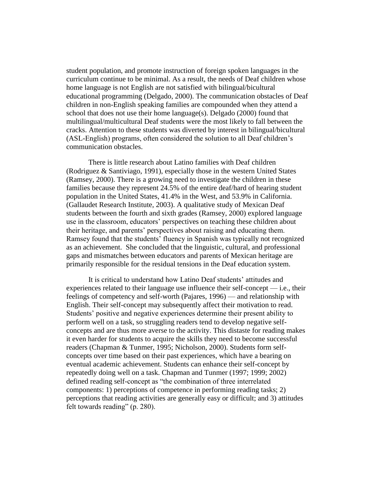student population, and promote instruction of foreign spoken languages in the curriculum continue to be minimal. As a result, the needs of Deaf children whose home language is not English are not satisfied with bilingual/bicultural educational programming (Delgado, 2000). The communication obstacles of Deaf children in non-English speaking families are compounded when they attend a school that does not use their home language(s). Delgado (2000) found that multilingual/multicultural Deaf students were the most likely to fall between the cracks. Attention to these students was diverted by interest in bilingual/bicultural (ASL-English) programs, often considered the solution to all Deaf children's communication obstacles.

There is little research about Latino families with Deaf children (Rodriguez & Santiviago, 1991), especially those in the western United States (Ramsey, 2000). There is a growing need to investigate the children in these families because they represent 24.5% of the entire deaf/hard of hearing student population in the United States, 41.4% in the West, and 53.9% in California. (Gallaudet Research Institute, 2003). A qualitative study of Mexican Deaf students between the fourth and sixth grades (Ramsey, 2000) explored language use in the classroom, educators' perspectives on teaching these children about their heritage, and parents' perspectives about raising and educating them. Ramsey found that the students' fluency in Spanish was typically not recognized as an achievement. She concluded that the linguistic, cultural, and professional gaps and mismatches between educators and parents of Mexican heritage are primarily responsible for the residual tensions in the Deaf education system.

It is critical to understand how Latino Deaf students' attitudes and experiences related to their language use influence their self-concept — i.e., their feelings of competency and self-worth (Pajares, 1996) — and relationship with English. Their self-concept may subsequently affect their motivation to read. Students' positive and negative experiences determine their present ability to perform well on a task, so struggling readers tend to develop negative selfconcepts and are thus more averse to the activity. This distaste for reading makes it even harder for students to acquire the skills they need to become successful readers (Chapman & Tunmer, 1995; Nicholson, 2000). Students form selfconcepts over time based on their past experiences, which have a bearing on eventual academic achievement. Students can enhance their self-concept by repeatedly doing well on a task. Chapman and Tunmer (1997; 1999; 2002) defined reading self-concept as "the combination of three interrelated components: 1) perceptions of competence in performing reading tasks; 2) perceptions that reading activities are generally easy or difficult; and 3) attitudes felt towards reading" (p. 280).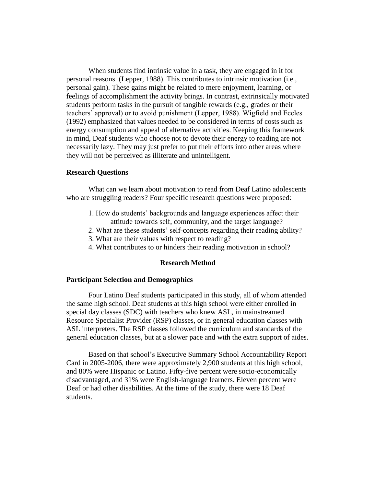When students find intrinsic value in a task, they are engaged in it for personal reasons (Lepper, 1988). This contributes to intrinsic motivation (i.e., personal gain). These gains might be related to mere enjoyment, learning, or feelings of accomplishment the activity brings. In contrast, extrinsically motivated students perform tasks in the pursuit of tangible rewards (e.g., grades or their teachers' approval) or to avoid punishment (Lepper, 1988). Wigfield and Eccles (1992) emphasized that values needed to be considered in terms of costs such as energy consumption and appeal of alternative activities. Keeping this framework in mind, Deaf students who choose not to devote their energy to reading are not necessarily lazy. They may just prefer to put their efforts into other areas where they will not be perceived as illiterate and unintelligent.

## **Research Questions**

What can we learn about motivation to read from Deaf Latino adolescents who are struggling readers? Four specific research questions were proposed:

- 1. How do students' backgrounds and language experiences affect their attitude towards self, community, and the target language?
- 2. What are these students' self-concepts regarding their reading ability?
- 3. What are their values with respect to reading?
- 4. What contributes to or hinders their reading motivation in school?

## **Research Method**

## **Participant Selection and Demographics**

Four Latino Deaf students participated in this study, all of whom attended the same high school. Deaf students at this high school were either enrolled in special day classes (SDC) with teachers who knew ASL, in mainstreamed Resource Specialist Provider (RSP) classes, or in general education classes with ASL interpreters. The RSP classes followed the curriculum and standards of the general education classes, but at a slower pace and with the extra support of aides.

Based on that school's Executive Summary School Accountability Report Card in 2005-2006, there were approximately 2,900 students at this high school, and 80% were Hispanic or Latino. Fifty-five percent were socio-economically disadvantaged, and 31% were English-language learners. Eleven percent were Deaf or had other disabilities. At the time of the study, there were 18 Deaf students.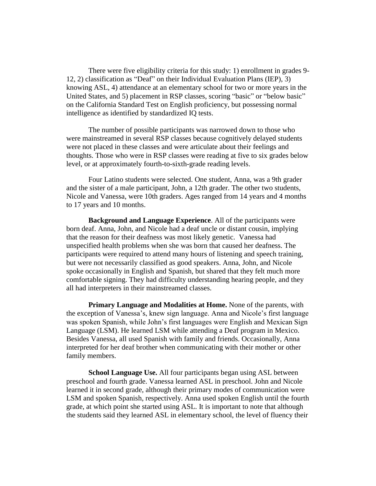There were five eligibility criteria for this study: 1) enrollment in grades 9- 12, 2) classification as "Deaf" on their Individual Evaluation Plans (IEP), 3) knowing ASL, 4) attendance at an elementary school for two or more years in the United States, and 5) placement in RSP classes, scoring "basic" or "below basic" on the California Standard Test on English proficiency, but possessing normal intelligence as identified by standardized IQ tests.

The number of possible participants was narrowed down to those who were mainstreamed in several RSP classes because cognitively delayed students were not placed in these classes and were articulate about their feelings and thoughts. Those who were in RSP classes were reading at five to six grades below level, or at approximately fourth-to-sixth-grade reading levels.

Four Latino students were selected. One student, Anna, was a 9th grader and the sister of a male participant, John, a 12th grader. The other two students, Nicole and Vanessa, were 10th graders. Ages ranged from 14 years and 4 months to 17 years and 10 months.

**Background and Language Experience**. All of the participants were born deaf. Anna, John, and Nicole had a deaf uncle or distant cousin, implying that the reason for their deafness was most likely genetic. Vanessa had unspecified health problems when she was born that caused her deafness. The participants were required to attend many hours of listening and speech training, but were not necessarily classified as good speakers. Anna, John, and Nicole spoke occasionally in English and Spanish, but shared that they felt much more comfortable signing. They had difficulty understanding hearing people, and they all had interpreters in their mainstreamed classes.

**Primary Language and Modalities at Home.** None of the parents, with the exception of Vanessa's, knew sign language. Anna and Nicole's first language was spoken Spanish, while John's first languages were English and Mexican Sign Language (LSM). He learned LSM while attending a Deaf program in Mexico. Besides Vanessa, all used Spanish with family and friends. Occasionally, Anna interpreted for her deaf brother when communicating with their mother or other family members.

**School Language Use.** All four participants began using ASL between preschool and fourth grade. Vanessa learned ASL in preschool. John and Nicole learned it in second grade, although their primary modes of communication were LSM and spoken Spanish, respectively. Anna used spoken English until the fourth grade, at which point she started using ASL. It is important to note that although the students said they learned ASL in elementary school, the level of fluency their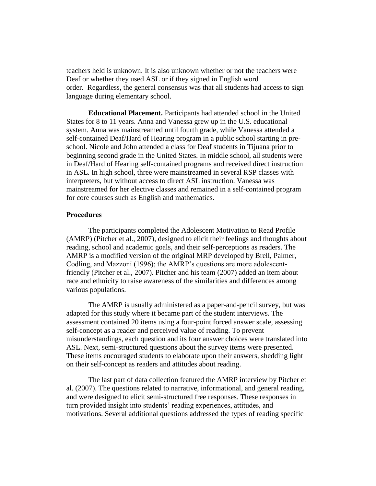teachers held is unknown. It is also unknown whether or not the teachers were Deaf or whether they used ASL or if they signed in English word order. Regardless, the general consensus was that all students had access to sign language during elementary school.

**Educational Placement.** Participants had attended school in the United States for 8 to 11 years. Anna and Vanessa grew up in the U.S. educational system. Anna was mainstreamed until fourth grade, while Vanessa attended a self-contained Deaf/Hard of Hearing program in a public school starting in preschool. Nicole and John attended a class for Deaf students in Tijuana prior to beginning second grade in the United States. In middle school, all students were in Deaf/Hard of Hearing self-contained programs and received direct instruction in ASL. In high school, three were mainstreamed in several RSP classes with interpreters, but without access to direct ASL instruction. Vanessa was mainstreamed for her elective classes and remained in a self-contained program for core courses such as English and mathematics.

#### **Procedures**

The participants completed the Adolescent Motivation to Read Profile (AMRP) (Pitcher et al., 2007), designed to elicit their feelings and thoughts about reading, school and academic goals, and their self-perceptions as readers. The AMRP is a modified version of the original MRP developed by Brell, Palmer, Codling, and Mazzoni (1996); the AMRP's questions are more adolescentfriendly (Pitcher et al., 2007). Pitcher and his team (2007) added an item about race and ethnicity to raise awareness of the similarities and differences among various populations.

The AMRP is usually administered as a paper-and-pencil survey, but was adapted for this study where it became part of the student interviews. The assessment contained 20 items using a four-point forced answer scale, assessing self-concept as a reader and perceived value of reading. To prevent misunderstandings, each question and its four answer choices were translated into ASL. Next, semi-structured questions about the survey items were presented. These items encouraged students to elaborate upon their answers, shedding light on their self-concept as readers and attitudes about reading.

The last part of data collection featured the AMRP interview by Pitcher et al. (2007). The questions related to narrative, informational, and general reading, and were designed to elicit semi-structured free responses. These responses in turn provided insight into students' reading experiences, attitudes, and motivations. Several additional questions addressed the types of reading specific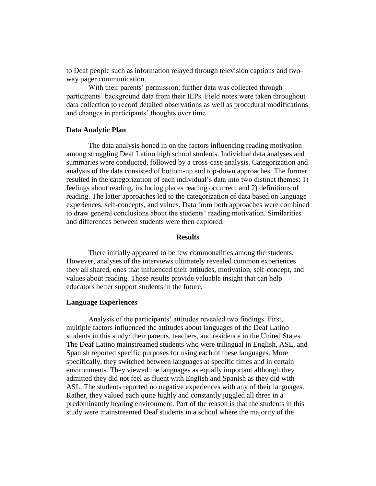to Deaf people such as information relayed through television captions and twoway pager communication.

With their parents' permission, further data was collected through participants' background data from their IEPs. Field notes were taken throughout data collection to record detailed observations as well as procedural modifications and changes in participants' thoughts over time

#### **Data Analytic Plan**

The data analysis honed in on the factors influencing reading motivation among struggling Deaf Latino high school students. Individual data analyses and summaries were conducted, followed by a cross-case analysis. Categorization and analysis of the data consisted of bottom-up and top-down approaches. The former resulted in the categorization of each individual's data into two distinct themes: 1) feelings about reading, including places reading occurred; and 2) definitions of reading. The latter approaches led to the categorization of data based on language experiences, self-concepts, and values. Data from both approaches were combined to draw general conclusions about the students' reading motivation. Similarities and differences between students were then explored.

## **Results**

There initially appeared to be few commonalities among the students. However, analyses of the interviews ultimately revealed common experiences they all shared, ones that influenced their attitudes, motivation, self-concept, and values about reading. These results provide valuable insight that can help educators better support students in the future.

#### **Language Experiences**

Analysis of the participants' attitudes revealed two findings. First, multiple factors influenced the attitudes about languages of the Deaf Latino students in this study: their parents, teachers, and residence in the United States. The Deaf Latino mainstreamed students who were trilingual in English, ASL, and Spanish reported specific purposes for using each of these languages. More specifically, they switched between languages at specific times and in certain environments. They viewed the languages as equally important although they admitted they did not feel as fluent with English and Spanish as they did with ASL. The students reported no negative experiences with any of their languages. Rather, they valued each quite highly and constantly juggled all three in a predominantly hearing environment. Part of the reason is that the students in this study were mainstreamed Deaf students in a school where the majority of the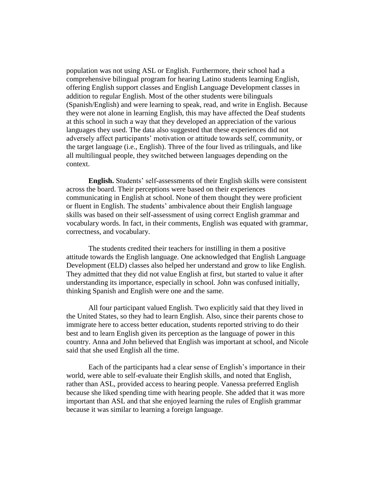population was not using ASL or English. Furthermore, their school had a comprehensive bilingual program for hearing Latino students learning English, offering English support classes and English Language Development classes in addition to regular English. Most of the other students were bilinguals (Spanish/English) and were learning to speak, read, and write in English. Because they were not alone in learning English, this may have affected the Deaf students at this school in such a way that they developed an appreciation of the various languages they used. The data also suggested that these experiences did not adversely affect participants' motivation or attitude towards self, community, or the target language (i.e., English). Three of the four lived as trilinguals, and like all multilingual people, they switched between languages depending on the context.

**English.** Students' self-assessments of their English skills were consistent across the board. Their perceptions were based on their experiences communicating in English at school. None of them thought they were proficient or fluent in English. The students' ambivalence about their English language skills was based on their self-assessment of using correct English grammar and vocabulary words. In fact, in their comments, English was equated with grammar, correctness, and vocabulary.

The students credited their teachers for instilling in them a positive attitude towards the English language. One acknowledged that English Language Development (ELD) classes also helped her understand and grow to like English. They admitted that they did not value English at first, but started to value it after understanding its importance, especially in school. John was confused initially, thinking Spanish and English were one and the same.

All four participant valued English. Two explicitly said that they lived in the United States, so they had to learn English. Also, since their parents chose to immigrate here to access better education, students reported striving to do their best and to learn English given its perception as the language of power in this country. Anna and John believed that English was important at school, and Nicole said that she used English all the time.

Each of the participants had a clear sense of English's importance in their world, were able to self-evaluate their English skills, and noted that English, rather than ASL, provided access to hearing people. Vanessa preferred English because she liked spending time with hearing people. She added that it was more important than ASL and that she enjoyed learning the rules of English grammar because it was similar to learning a foreign language.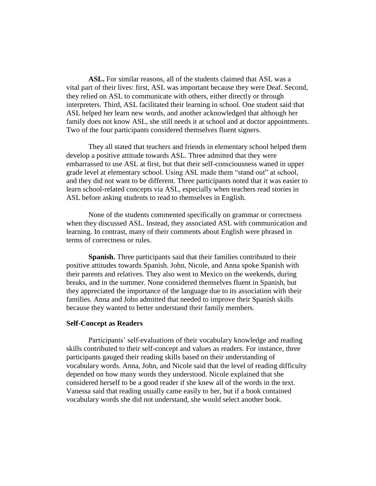**ASL.** For similar reasons, all of the students claimed that ASL was a vital part of their lives: first, ASL was important because they were Deaf. Second, they relied on ASL to communicate with others, either directly or through interpreters. Third, ASL facilitated their learning in school. One student said that ASL helped her learn new words, and another acknowledged that although her family does not know ASL, she still needs it at school and at doctor appointments. Two of the four participants considered themselves fluent signers.

They all stated that teachers and friends in elementary school helped them develop a positive attitude towards ASL. Three admitted that they were embarrassed to use ASL at first, but that their self-consciousness waned in upper grade level at elementary school. Using ASL made them "stand out" at school, and they did not want to be different. Three participants noted that it was easier to learn school-related concepts via ASL, especially when teachers read stories in ASL before asking students to read to themselves in English.

None of the students commented specifically on grammar or correctness when they discussed ASL. Instead, they associated ASL with communication and learning. In contrast, many of their comments about English were phrased in terms of correctness or rules.

**Spanish.** Three participants said that their families contributed to their positive attitudes towards Spanish. John, Nicole, and Anna spoke Spanish with their parents and relatives. They also went to Mexico on the weekends, during breaks, and in the summer. None considered themselves fluent in Spanish, but they appreciated the importance of the language due to its association with their families. Anna and John admitted that needed to improve their Spanish skills because they wanted to better understand their family members.

### **Self-Concept as Readers**

Participants' self-evaluations of their vocabulary knowledge and reading skills contributed to their self-concept and values as readers. For instance, three participants gauged their reading skills based on their understanding of vocabulary words. Anna, John, and Nicole said that the level of reading difficulty depended on how many words they understood. Nicole explained that she considered herself to be a good reader if she knew all of the words in the text. Vanessa said that reading usually came easily to her, but if a book contained vocabulary words she did not understand, she would select another book.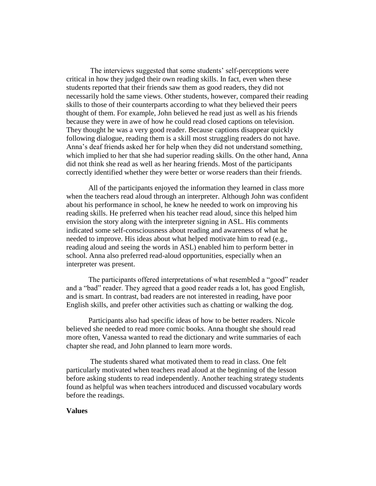The interviews suggested that some students' self-perceptions were critical in how they judged their own reading skills. In fact, even when these students reported that their friends saw them as good readers, they did not necessarily hold the same views. Other students, however, compared their reading skills to those of their counterparts according to what they believed their peers thought of them. For example, John believed he read just as well as his friends because they were in awe of how he could read closed captions on television. They thought he was a very good reader. Because captions disappear quickly following dialogue, reading them is a skill most struggling readers do not have. Anna's deaf friends asked her for help when they did not understand something, which implied to her that she had superior reading skills. On the other hand, Anna did not think she read as well as her hearing friends. Most of the participants correctly identified whether they were better or worse readers than their friends.

All of the participants enjoyed the information they learned in class more when the teachers read aloud through an interpreter. Although John was confident about his performance in school, he knew he needed to work on improving his reading skills. He preferred when his teacher read aloud, since this helped him envision the story along with the interpreter signing in ASL. His comments indicated some self-consciousness about reading and awareness of what he needed to improve. His ideas about what helped motivate him to read (e.g., reading aloud and seeing the words in ASL) enabled him to perform better in school. Anna also preferred read-aloud opportunities, especially when an interpreter was present.

The participants offered interpretations of what resembled a "good" reader and a "bad" reader. They agreed that a good reader reads a lot, has good English, and is smart. In contrast, bad readers are not interested in reading, have poor English skills, and prefer other activities such as chatting or walking the dog.

Participants also had specific ideas of how to be better readers. Nicole believed she needed to read more comic books. Anna thought she should read more often, Vanessa wanted to read the dictionary and write summaries of each chapter she read, and John planned to learn more words.

The students shared what motivated them to read in class. One felt particularly motivated when teachers read aloud at the beginning of the lesson before asking students to read independently. Another teaching strategy students found as helpful was when teachers introduced and discussed vocabulary words before the readings.

### **Values**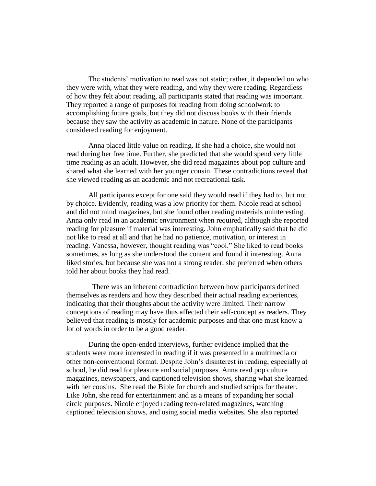The students' motivation to read was not static; rather, it depended on who they were with, what they were reading, and why they were reading. Regardless of how they felt about reading, all participants stated that reading was important. They reported a range of purposes for reading from doing schoolwork to accomplishing future goals, but they did not discuss books with their friends because they saw the activity as academic in nature. None of the participants considered reading for enjoyment.

Anna placed little value on reading. If she had a choice, she would not read during her free time. Further, she predicted that she would spend very little time reading as an adult. However, she did read magazines about pop culture and shared what she learned with her younger cousin. These contradictions reveal that she viewed reading as an academic and not recreational task.

All participants except for one said they would read if they had to, but not by choice. Evidently, reading was a low priority for them. Nicole read at school and did not mind magazines, but she found other reading materials uninteresting. Anna only read in an academic environment when required, although she reported reading for pleasure if material was interesting. John emphatically said that he did not like to read at all and that he had no patience, motivation, or interest in reading. Vanessa, however, thought reading was "cool." She liked to read books sometimes, as long as she understood the content and found it interesting. Anna liked stories, but because she was not a strong reader, she preferred when others told her about books they had read.

There was an inherent contradiction between how participants defined themselves as readers and how they described their actual reading experiences, indicating that their thoughts about the activity were limited. Their narrow conceptions of reading may have thus affected their self-concept as readers. They believed that reading is mostly for academic purposes and that one must know a lot of words in order to be a good reader.

During the open-ended interviews, further evidence implied that the students were more interested in reading if it was presented in a multimedia or other non-conventional format. Despite John's disinterest in reading, especially at school, he did read for pleasure and social purposes. Anna read pop culture magazines, newspapers, and captioned television shows, sharing what she learned with her cousins. She read the Bible for church and studied scripts for theater. Like John, she read for entertainment and as a means of expanding her social circle purposes. Nicole enjoyed reading teen-related magazines, watching captioned television shows, and using social media websites. She also reported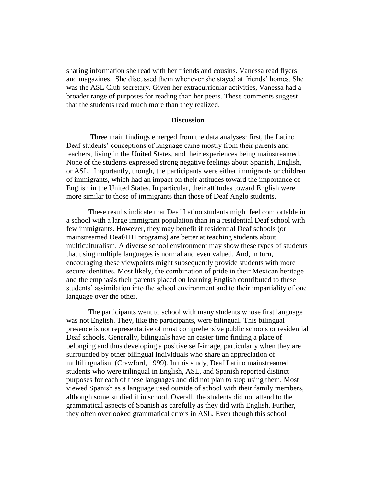sharing information she read with her friends and cousins. Vanessa read flyers and magazines. She discussed them whenever she stayed at friends' homes. She was the ASL Club secretary. Given her extracurricular activities, Vanessa had a broader range of purposes for reading than her peers. These comments suggest that the students read much more than they realized.

### **Discussion**

Three main findings emerged from the data analyses: first, the Latino Deaf students' conceptions of language came mostly from their parents and teachers, living in the United States, and their experiences being mainstreamed. None of the students expressed strong negative feelings about Spanish, English, or ASL. Importantly, though, the participants were either immigrants or children of immigrants, which had an impact on their attitudes toward the importance of English in the United States. In particular, their attitudes toward English were more similar to those of immigrants than those of Deaf Anglo students.

These results indicate that Deaf Latino students might feel comfortable in a school with a large immigrant population than in a residential Deaf school with few immigrants. However, they may benefit if residential Deaf schools (or mainstreamed Deaf/HH programs) are better at teaching students about multiculturalism. A diverse school environment may show these types of students that using multiple languages is normal and even valued. And, in turn, encouraging these viewpoints might subsequently provide students with more secure identities. Most likely, the combination of pride in their Mexican heritage and the emphasis their parents placed on learning English contributed to these students' assimilation into the school environment and to their impartiality of one language over the other.

The participants went to school with many students whose first language was not English. They, like the participants, were bilingual. This bilingual presence is not representative of most comprehensive public schools or residential Deaf schools. Generally, bilinguals have an easier time finding a place of belonging and thus developing a positive self-image, particularly when they are surrounded by other bilingual individuals who share an appreciation of multilingualism (Crawford, 1999). In this study, Deaf Latino mainstreamed students who were trilingual in English, ASL, and Spanish reported distinct purposes for each of these languages and did not plan to stop using them. Most viewed Spanish as a language used outside of school with their family members, although some studied it in school. Overall, the students did not attend to the grammatical aspects of Spanish as carefully as they did with English. Further, they often overlooked grammatical errors in ASL. Even though this school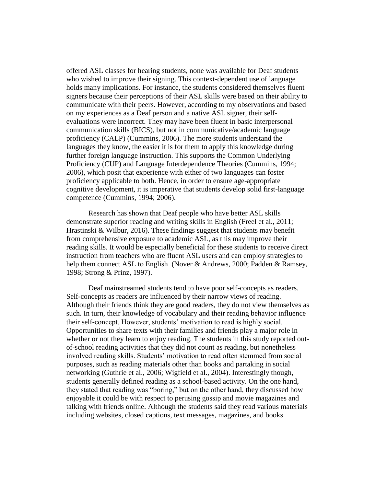offered ASL classes for hearing students, none was available for Deaf students who wished to improve their signing. This context-dependent use of language holds many implications. For instance, the students considered themselves fluent signers because their perceptions of their ASL skills were based on their ability to communicate with their peers. However, according to my observations and based on my experiences as a Deaf person and a native ASL signer, their selfevaluations were incorrect. They may have been fluent in basic interpersonal communication skills (BICS), but not in communicative/academic language proficiency (CALP) (Cummins, 2006). The more students understand the languages they know, the easier it is for them to apply this knowledge during further foreign language instruction. This supports the Common Underlying Proficiency (CUP) and Language Interdependence Theories (Cummins, 1994; 2006), which posit that experience with either of two languages can foster proficiency applicable to both. Hence, in order to ensure age-appropriate cognitive development, it is imperative that students develop solid first-language competence (Cummins, 1994; 2006).

Research has shown that Deaf people who have better ASL skills demonstrate superior reading and writing skills in English (Freel et al., 2011; Hrastinski & Wilbur, 2016). These findings suggest that students may benefit from comprehensive exposure to academic ASL, as this may improve their reading skills. It would be especially beneficial for these students to receive direct instruction from teachers who are fluent ASL users and can employ strategies to help them connect ASL to English (Nover & Andrews, 2000; Padden & Ramsey, 1998; Strong & Prinz, 1997).

Deaf mainstreamed students tend to have poor self-concepts as readers. Self-concepts as readers are influenced by their narrow views of reading. Although their friends think they are good readers, they do not view themselves as such. In turn, their knowledge of vocabulary and their reading behavior influence their self-concept. However, students' motivation to read is highly social. Opportunities to share texts with their families and friends play a major role in whether or not they learn to enjoy reading. The students in this study reported outof-school reading activities that they did not count as reading, but nonetheless involved reading skills. Students' motivation to read often stemmed from social purposes, such as reading materials other than books and partaking in social networking (Guthrie et al., 2006; Wigfield et al., 2004). Interestingly though, students generally defined reading as a school-based activity. On the one hand, they stated that reading was "boring," but on the other hand, they discussed how enjoyable it could be with respect to perusing gossip and movie magazines and talking with friends online. Although the students said they read various materials including websites, closed captions, text messages, magazines, and books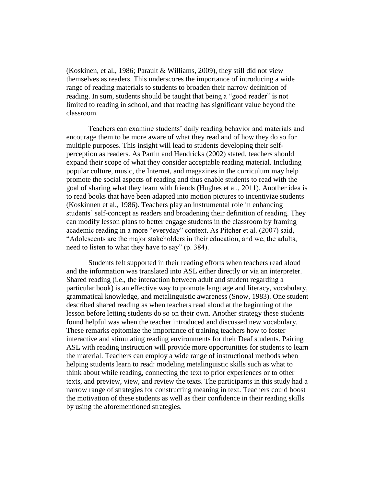(Koskinen, et al., 1986; Parault & Williams, 2009), they still did not view themselves as readers. This underscores the importance of introducing a wide range of reading materials to students to broaden their narrow definition of reading. In sum, students should be taught that being a "good reader" is not limited to reading in school, and that reading has significant value beyond the classroom.

Teachers can examine students' daily reading behavior and materials and encourage them to be more aware of what they read and of how they do so for multiple purposes. This insight will lead to students developing their selfperception as readers. As Partin and Hendricks (2002) stated, teachers should expand their scope of what they consider acceptable reading material. Including popular culture, music, the Internet, and magazines in the curriculum may help promote the social aspects of reading and thus enable students to read with the goal of sharing what they learn with friends (Hughes et al., 2011). Another idea is to read books that have been adapted into motion pictures to incentivize students (Koskinnen et al., 1986). Teachers play an instrumental role in enhancing students' self-concept as readers and broadening their definition of reading. They can modify lesson plans to better engage students in the classroom by framing academic reading in a more "everyday" context. As Pitcher et al. (2007) said, "Adolescents are the major stakeholders in their education, and we, the adults, need to listen to what they have to say" (p. 384).

Students felt supported in their reading efforts when teachers read aloud and the information was translated into ASL either directly or via an interpreter. Shared reading (i.e., the interaction between adult and student regarding a particular book) is an effective way to promote language and literacy, vocabulary, grammatical knowledge, and metalinguistic awareness (Snow, 1983). One student described shared reading as when teachers read aloud at the beginning of the lesson before letting students do so on their own. Another strategy these students found helpful was when the teacher introduced and discussed new vocabulary. These remarks epitomize the importance of training teachers how to foster interactive and stimulating reading environments for their Deaf students. Pairing ASL with reading instruction will provide more opportunities for students to learn the material. Teachers can employ a wide range of instructional methods when helping students learn to read: modeling metalinguistic skills such as what to think about while reading, connecting the text to prior experiences or to other texts, and preview, view, and review the texts. The participants in this study had a narrow range of strategies for constructing meaning in text. Teachers could boost the motivation of these students as well as their confidence in their reading skills by using the aforementioned strategies.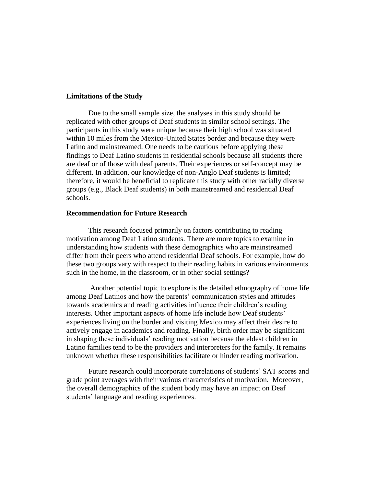#### **Limitations of the Study**

Due to the small sample size, the analyses in this study should be replicated with other groups of Deaf students in similar school settings. The participants in this study were unique because their high school was situated within 10 miles from the Mexico-United States border and because they were Latino and mainstreamed. One needs to be cautious before applying these findings to Deaf Latino students in residential schools because all students there are deaf or of those with deaf parents. Their experiences or self-concept may be different. In addition, our knowledge of non-Anglo Deaf students is limited; therefore, it would be beneficial to replicate this study with other racially diverse groups (e.g., Black Deaf students) in both mainstreamed and residential Deaf schools.

### **Recommendation for Future Research**

This research focused primarily on factors contributing to reading motivation among Deaf Latino students. There are more topics to examine in understanding how students with these demographics who are mainstreamed differ from their peers who attend residential Deaf schools. For example, how do these two groups vary with respect to their reading habits in various environments such in the home, in the classroom, or in other social settings?

Another potential topic to explore is the detailed ethnography of home life among Deaf Latinos and how the parents' communication styles and attitudes towards academics and reading activities influence their children's reading interests. Other important aspects of home life include how Deaf students' experiences living on the border and visiting Mexico may affect their desire to actively engage in academics and reading. Finally, birth order may be significant in shaping these individuals' reading motivation because the eldest children in Latino families tend to be the providers and interpreters for the family. It remains unknown whether these responsibilities facilitate or hinder reading motivation.

Future research could incorporate correlations of students' SAT scores and grade point averages with their various characteristics of motivation. Moreover, the overall demographics of the student body may have an impact on Deaf students' language and reading experiences.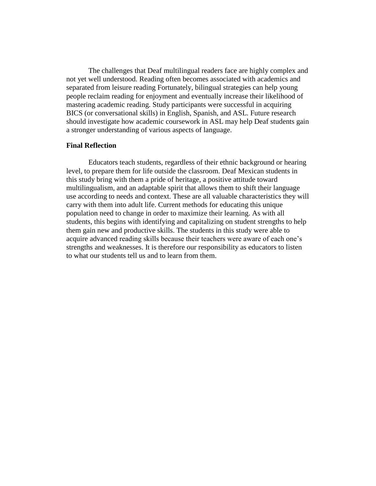The challenges that Deaf multilingual readers face are highly complex and not yet well understood. Reading often becomes associated with academics and separated from leisure reading Fortunately, bilingual strategies can help young people reclaim reading for enjoyment and eventually increase their likelihood of mastering academic reading. Study participants were successful in acquiring BICS (or conversational skills) in English, Spanish, and ASL. Future research should investigate how academic coursework in ASL may help Deaf students gain a stronger understanding of various aspects of language.

# **Final Reflection**

Educators teach students, regardless of their ethnic background or hearing level, to prepare them for life outside the classroom. Deaf Mexican students in this study bring with them a pride of heritage, a positive attitude toward multilingualism, and an adaptable spirit that allows them to shift their language use according to needs and context. These are all valuable characteristics they will carry with them into adult life. Current methods for educating this unique population need to change in order to maximize their learning. As with all students, this begins with identifying and capitalizing on student strengths to help them gain new and productive skills. The students in this study were able to acquire advanced reading skills because their teachers were aware of each one's strengths and weaknesses. It is therefore our responsibility as educators to listen to what our students tell us and to learn from them.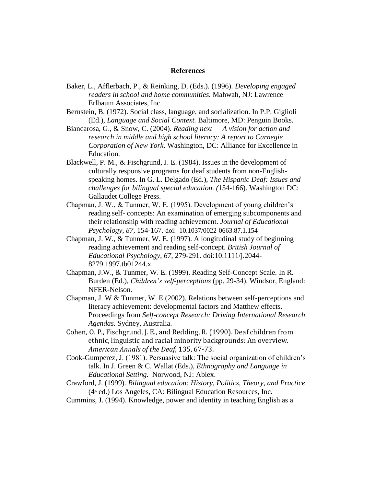#### **References**

- Baker, L., Afflerbach, P., & Reinking, D. (Eds.). (1996). *Developing engaged readers in school and home communities.* Mahwah, NJ: Lawrence Erlbaum Associates, Inc.
- Bernstein, B. (1972). Social class, language, and socialization. In P.P. Giglioli (Ed.), *Language and Social Context.* Baltimore, MD: Penguin Books.
- Biancarosa, G., & Snow, C. (2004). *Reading next — A vision for action and research in middle and high school literacy: A report to Carnegie Corporation of New York*. Washington, DC: Alliance for Excellence in Education.
- Blackwell, P. M., & Fischgrund, J. E. (1984). Issues in the development of culturally responsive programs for deaf students from non-Englishspeaking homes. In G. L. Delgado (Ed.), *The Hispanic Deaf: Issues and challenges for bilingual special education. (*154-166). Washington DC: Gallaudet College Press.
- Chapman, J. W., & Tunmer, W. E. (1995). Development of young children's reading self- concepts: An examination of emerging subcomponents and their relationship with reading achievement. *Journal of Educational Psychology, 87,* 154-167. doi: 10.1037/0022-0663.87.1.154
- Chapman, J. W., & Tunmer, W. E. (1997). A longitudinal study of beginning reading achievement and reading self-concept. *British Journal of Educational Psychology, 67,* 279-291. doi:10.1111/j.2044- 8279.1997.tb01244.x
- Chapman, J.W., & Tunmer, W. E. (1999). Reading Self-Concept Scale. In R. Burden (Ed.), *Children's self-perceptions* (pp. 29-34). Windsor, England: NFER-Nelson.
- Chapman, J. W & Tunmer, W. E (2002). Relations between self-perceptions and literacy achievement: developmental factors and Matthew effects. Proceedings from *Self-concept Research: Driving International Research Agendas.* Sydney, Australia.
- Cohen, O. P., Fischgrund, J. E., and Redding, R. (1990). Deaf children from ethnic, linguistic and racial minority backgrounds: An overview. *American Annals of the Deaf*, 135, 67-73.
- Cook-Gumperez, J. (1981). Persuasive talk: The social organization of children's talk. In J. Green & C. Wallat (Eds.), *Ethnography and Language in Educational Setting.* Norwood, NJ: Ablex.
- Crawford, J. (1999). *Bilingual education: History, Politics, Theory, and Practice*  $(4<sup>th</sup>$  ed.) Los Angeles, CA: Bilingual Education Resources, Inc.
- Cummins, J. (1994). Knowledge, power and identity in teaching English as a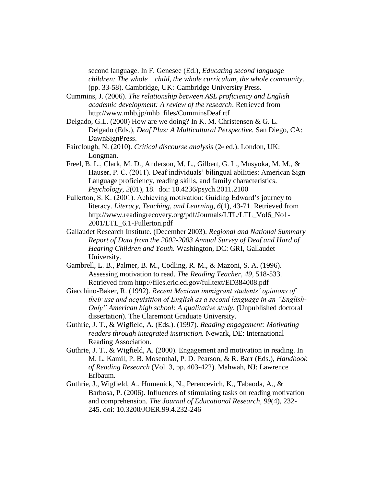second language. In F. Genesee (Ed.), *Educating second language children: The whole child, the whole curriculum, the whole community*. (pp. 33-58). Cambridge, UK: Cambridge University Press.

Cummins, J. (2006). *The relationship between ASL proficiency and English academic development: A review of the research*. Retrieved from http://www.mhb.jp/mhb\_files/CumminsDeaf.rtf

- Delgado, G.L. (2000) How are we doing? In K. M. Christensen & G. L. Delgado (Eds.), *Deaf Plus: A Multicultural Perspective.* San Diego, CA: DawnSignPress.
- Fairclough, N. (2010). *Critical discourse analysis* (2nd ed.). London, UK: Longman.
- Freel, B. L., Clark, M. D., Anderson, M. L., Gilbert, G. L., Musyoka, M. M., & Hauser, P. C. (2011). Deaf individuals' bilingual abilities: American Sign Language proficiency, reading skills, and family characteristics. *Psychology*, *2*(01), 18. doi: 10.4236/psych.2011.2100
- Fullerton, S. K. (2001). Achieving motivation: Guiding Edward's journey to literacy. *Literacy, Teaching, and Learning, 6*(1), 43-71. Retrieved from http://www.readingrecovery.org/pdf/Journals/LTL/LTL\_Vol6\_No1- 2001/LTL\_6.1-Fullerton.pdf
- Gallaudet Research Institute. (December 2003). *Regional and National Summary Report of Data from the 2002-2003 Annual Survey of Deaf and Hard of Hearing Children and Youth.* Washington, DC: GRI, Gallaudet University.
- Gambrell, L. B., Palmer, B. M., Codling, R. M., & Mazoni, S. A. (1996). Assessing motivation to read. *The Reading Teacher, 49,* 518-533. Retrieved from http://files.eric.ed.gov/fulltext/ED384008.pdf
- Giacchino-Baker, R. (1992). *Recent Mexican immigrant students' opinions of their use and acquisition of English as a second language in an "English-Only" American high school: A qualitative study*. (Unpublished doctoral dissertation). The Claremont Graduate University.
- Guthrie, J. T., & Wigfield, A. (Eds.). (1997). *Reading engagement: Motivating readers through integrated instruction.* Newark, DE: International Reading Association.
- Guthrie, J. T., & Wigfield, A. (2000). Engagement and motivation in reading. In M. L. Kamil, P. B. Mosenthal, P. D. Pearson, & R. Barr (Eds.), *Handbook of Reading Research* (Vol. 3, pp. 403-422). Mahwah, NJ: Lawrence Erlbaum.
- Guthrie, J., Wigfield, A., Humenick, N., Perencevich, K., Tabaoda, A., & Barbosa, P. (2006). Influences of stimulating tasks on reading motivation and comprehension. *The Journal of Educational Research, 99*(4), 232- 245. doi: 10.3200/JOER.99.4.232-246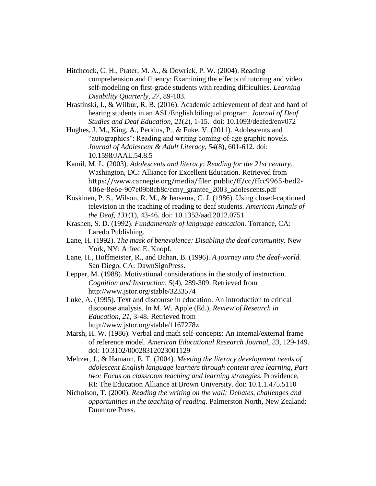Hitchcock, C. H., Prater, M. A., & Dowrick, P. W. (2004). Reading comprehension and fluency: Examining the effects of tutoring and video self-modeling on first-grade students with reading difficulties. *Learning Disability Quarterly, 27*, 89-103.

Hrastinski, I., & Wilbur, R. B. (2016). Academic achievement of deaf and hard of hearing students in an ASL/English bilingual program. *Journal of Deaf Studies and Deaf Education*, *21*(2), 1-15. doi: 10.1093/deafed/env072

Hughes, J. M., King, A., Perkins, P., & Fuke, V. (2011). Adolescents and "autographics": Reading and writing coming-of-age graphic novels. *Journal of Adolescent & Adult Literacy*, *54*(8), 601-612. doi: 10.1598/JAAL.54.8.5

Kamil, M. L. (2003). *Adolescents and literacy: Reading for the 21st century.*  Washington, DC: Alliance for Excellent Education. Retrieved from https://www.carnegie.org/media/filer\_public/ff/cc/ffcc9965-bed2- 406e-8e6e-907e09b8cb8c/ccny\_grantee\_2003\_adolescents.pdf

- Koskinen, P. S., Wilson, R. M., & Jensema, C. J. (1986). Using closed-captioned television in the teaching of reading to deaf students. *American Annals of the Deaf*, *131*(1), 43-46. doi: 10.1353/aad.2012.0751
- Krashen, S. D. (1992). *Fundamentals of language education.* Torrance, CA: Laredo Publishing.
- Lane, H. (1992). *The mask of benevolence: Disabling the deaf community.* New York, NY: Alfred E. Knopf.
- Lane, H., Hoffmeister, R., and Bahan, B. (1996). *A journey into the deaf-world.*  San Diego, CA: DawnSignPress.
- Lepper, M. (1988). Motivational considerations in the study of instruction. *Cognition and Instruction, 5*(4), 289-309. Retrieved from http://www.jstor.org/stable/3233574
- Luke, A. (1995). Text and discourse in education: An introduction to critical discourse analysis. In M. W. Apple (Ed.), *Review of Research in Education, 21*, 3-48. Retrieved from http://www.jstor.org/stable/1167278z
- Marsh, H. W. (1986). Verbal and math self-concepts: An internal/external frame of reference model. *American Educational Research Journal, 23,* 129-149. doi: 10.3102/00028312023001129
- Meltzer, J., & Hamann, E. T. (2004). *Meeting the literacy development needs of adolescent English language learners through content area learning, Part two: Focus on classroom teaching and learning strategies.* Providence, RI: The Education Alliance at Brown University. doi: 10.1.1.475.5110
- Nicholson, T. (2000). *Reading the writing on the wall: Debates, challenges and opportunities in the teaching of reading.* Palmerston North, New Zealand: Dunmore Press.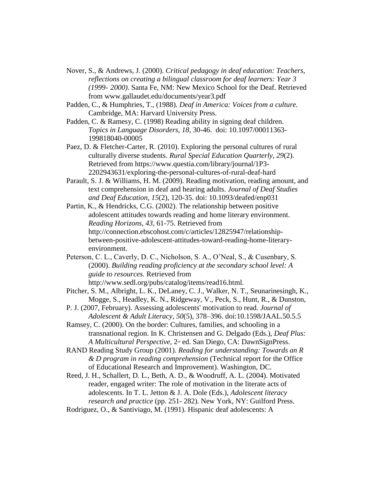- Nover, S., & Andrews, J. (2000). *Critical pedagogy in deaf education: Teachers, reflections on creating a bilingual classroom for deaf learners: Year 3 (1999- 2000)*. Santa Fe, NM: New Mexico School for the Deaf. Retrieved from www.gallaudet.edu/documents/year3.pdf
- Padden, C., & Humphries, T., (1988). *Deaf in America: Voices from a culture.*  Cambridge, MA: Harvard University Press.
- Padden, C. & Ramesy, C. (1998) Reading ability in signing deaf children. *Topics in Language Disorders, 18*, 30-46. doi: 10.1097/00011363- 199818040-00005
- Paez, D. & Fletcher-Carter, R. (2010). Exploring the personal cultures of rural culturally diverse students. *Rural Special Education Quarterly, 29*(2). Retrieved from [https://www.questia.com/library/journal/1P3-](https://www.questia.com/library/journal/1P3-2202943631/exploring-the-) [2202943631/exploring-the-p](https://www.questia.com/library/journal/1P3-2202943631/exploring-the-)ersonal-cultures-of-rural-deaf-hard
- Parault, S. J. & Williams, H. M. (2009). Reading motivation, reading amount, and text comprehension in deaf and hearing adults. *Journal of Deaf Studies and Deaf Education*, *15*(2), 120-35. doi: 10.1093/deafed/enp031
- Partin, K., & Hendricks, C.G. (2002). The relationship between positive adolescent attitudes towards reading and home literary environment. *Reading Horizons, 43,* 61-75. Retrieved from http://connection.ebscohost.com/c/articles/12825947/relationshipbetween-positive-adolescent-attitudes-toward-reading-home-literaryenvironment.
- Peterson, C. L., Caverly, D. C., Nicholson, S. A., O'Neal, S., & Cusenbary, S. (2000). *Building reading proficiency at the secondary school level: A guide to resources.* Retrieved from http://www.sedl.org/pubs/catalog/items/read16.html.
- Pitcher, S. M., Albright, L. K., DeLaney, C. J., Walker, N. T., Seunarinesingh, K., Mogge, S., Headley, K. N., Ridgeway, V., Peck, S., Hunt, R., & Dunston,
- P. J. (2007, February). Assessing adolescents' motivation to read. *Journal of Adolescent & Adult Literacy*, *50*(5), 378–396. doi:10.1598/JAAL.50.5.5
- Ramsey, C. (2000). On the border: Cultures, families, and schooling in a transnational region. In K. Christensen and G. Delgado (Eds.), *Deaf Plus: A Multicultural Perspective,* 2nd ed. San Diego, CA: DawnSignPress.
- RAND Reading Study Group (2001). *Reading for understanding: Towards an R & D program in reading comprehension* (Technical report for the Office of Educational Research and Improvement). Washington, DC.
- Reed, J. H., Schallert, D. L., Beth, A. D., & Woodruff, A. L. (2004). Motivated reader, engaged writer: The role of motivation in the literate acts of adolescents. In T. L. Jetton & J. A. Dole (Eds.), *Adolescent literacy research and practice* (pp. 251- 282). New York, NY: Guilford Press.
- Rodriguez, O., & Santiviago, M. (1991). Hispanic deaf adolescents: A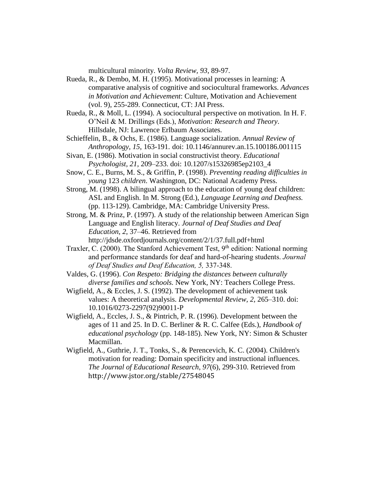multicultural minority. *Volta Review, 93*, 89-97.

- Rueda, R., & Dembo, M. H. (1995). Motivational processes in learning: A comparative analysis of cognitive and sociocultural frameworks. *Advances in Motivation and Achievement*: Culture, Motivation and Achievement (vol. 9), 255-289. Connecticut, CT: JAI Press.
- Rueda, R., & Moll, L. (1994). A sociocultural perspective on motivation. In H. F. O'Neil & M. Drillings (Eds.), *Motivation: Research and Theory*. Hillsdale, NJ: Lawrence Erlbaum Associates.
- Schieffelin, B., & Ochs, E. (1986). Language socialization. *Annual Review of Anthropology, 15*, 163-191. doi: 10.1146/annurev.an.15.100186.001115
- Sivan, E. (1986). Motivation in social constructivist theory. *Educational Psychologist, 21*, 209–233. doi: 10.1207/s15326985ep2103\_4
- Snow, C. E., Burns, M. S., & Griffin, P. (1998). *Preventing reading difficulties in young* 123 *children*. Washington, DC: National Academy Press.
- Strong, M. (1998). A bilingual approach to the education of young deaf children: ASL and English. In M. Strong (Ed.), *Language Learning and Deafness.*  (pp. 113-129). Cambridge, MA: Cambridge University Press.
- Strong, M. & Prinz, P. (1997). A study of the relationship between American Sign Language and English literacy. *Journal of Deaf Studies and Deaf Education*, *2*, 37–46. Retrieved from http://jdsde.oxfordjournals.org/content/2/1/37.full.pdf+html
- Traxler, C. (2000). The Stanford Achievement Test,  $9<sup>th</sup>$  edition: National norming and performance standards for deaf and hard-of-hearing students. *Journal of Deaf Studies and Deaf Education, 5,* 337-348.
- Valdes, G. (1996). *Con Respeto: Bridging the distances between culturally diverse families and schools.* New York, NY: Teachers College Press.
- Wigfield, A., & Eccles, J. S. (1992). The development of achievement task values: A theoretical analysis. *Developmental Review, 2,* 265–310. doi: 10.1016/0273-2297(92)90011-P
- Wigfield, A., Eccles, J. S., & Pintrich, P. R. (1996). Development between the ages of 11 and 25. In D. C. Berliner & R. C. Calfee (Eds.), *Handbook of educational psychology* (pp. 148-185). New York, NY: Simon & Schuster Macmillan.
- Wigfield, A., Guthrie, J. T., Tonks, S., & Perencevich, K. C. (2004). Children's motivation for reading: Domain specificity and instructional influences. *The Journal of Educational Research*, *97*(6), 299-310. Retrieved from http://www.jstor.org/stable/27548045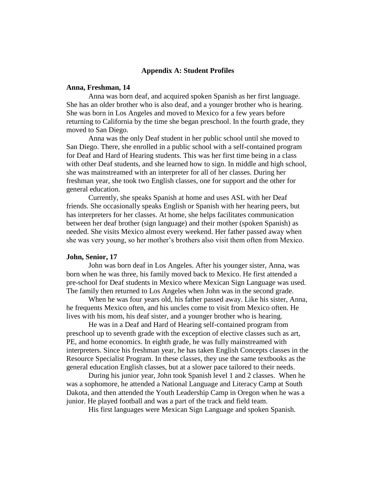### **Appendix A: Student Profiles**

#### **Anna, Freshman, 14**

Anna was born deaf, and acquired spoken Spanish as her first language. She has an older brother who is also deaf, and a younger brother who is hearing. She was born in Los Angeles and moved to Mexico for a few years before returning to California by the time she began preschool. In the fourth grade, they moved to San Diego.

Anna was the only Deaf student in her public school until she moved to San Diego. There, she enrolled in a public school with a self-contained program for Deaf and Hard of Hearing students. This was her first time being in a class with other Deaf students, and she learned how to sign. In middle and high school, she was mainstreamed with an interpreter for all of her classes. During her freshman year, she took two English classes, one for support and the other for general education.

Currently, she speaks Spanish at home and uses ASL with her Deaf friends. She occasionally speaks English or Spanish with her hearing peers, but has interpreters for her classes. At home, she helps facilitates communication between her deaf brother (sign language) and their mother (spoken Spanish) as needed. She visits Mexico almost every weekend. Her father passed away when she was very young, so her mother's brothers also visit them often from Mexico.

#### **John, Senior, 17**

John was born deaf in Los Angeles. After his younger sister, Anna, was born when he was three, his family moved back to Mexico. He first attended a pre-school for Deaf students in Mexico where Mexican Sign Language was used. The family then returned to Los Angeles when John was in the second grade.

When he was four years old, his father passed away. Like his sister, Anna, he frequents Mexico often, and his uncles come to visit from Mexico often. He lives with his mom, his deaf sister, and a younger brother who is hearing.

He was in a Deaf and Hard of Hearing self-contained program from preschool up to seventh grade with the exception of elective classes such as art, PE, and home economics. In eighth grade, he was fully mainstreamed with interpreters. Since his freshman year, he has taken English Concepts classes in the Resource Specialist Program. In these classes, they use the same textbooks as the general education English classes, but at a slower pace tailored to their needs.

During his junior year, John took Spanish level 1 and 2 classes. When he was a sophomore, he attended a National Language and Literacy Camp at South Dakota, and then attended the Youth Leadership Camp in Oregon when he was a junior. He played football and was a part of the track and field team.

His first languages were Mexican Sign Language and spoken Spanish.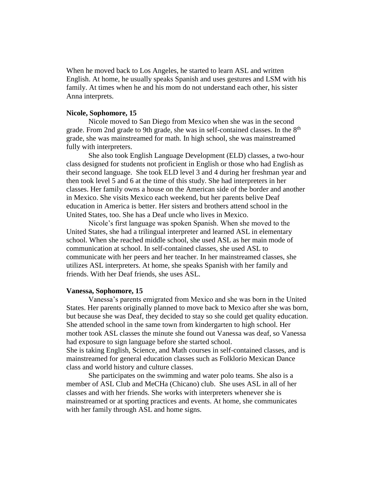When he moved back to Los Angeles, he started to learn ASL and written English. At home, he usually speaks Spanish and uses gestures and LSM with his family. At times when he and his mom do not understand each other, his sister Anna interprets.

### **Nicole, Sophomore, 15**

Nicole moved to San Diego from Mexico when she was in the second grade. From 2nd grade to 9th grade, she was in self-contained classes. In the 8<sup>th</sup> grade, she was mainstreamed for math. In high school, she was mainstreamed fully with interpreters.

She also took English Language Development (ELD) classes, a two-hour class designed for students not proficient in English or those who had English as their second language. She took ELD level 3 and 4 during her freshman year and then took level 5 and 6 at the time of this study. She had interpreters in her classes. Her family owns a house on the American side of the border and another in Mexico. She visits Mexico each weekend, but her parents belive Deaf education in America is better. Her sisters and brothers attend school in the United States, too. She has a Deaf uncle who lives in Mexico.

Nicole's first language was spoken Spanish. When she moved to the United States, she had a trilingual interpreter and learned ASL in elementary school. When she reached middle school, she used ASL as her main mode of communication at school. In self-contained classes, she used ASL to communicate with her peers and her teacher. In her mainstreamed classes, she utilizes ASL interpreters. At home, she speaks Spanish with her family and friends. With her Deaf friends, she uses ASL.

#### **Vanessa, Sophomore, 15**

Vanessa's parents emigrated from Mexico and she was born in the United States. Her parents originally planned to move back to Mexico after she was born, but because she was Deaf, they decided to stay so she could get quality education. She attended school in the same town from kindergarten to high school. Her mother took ASL classes the minute she found out Vanessa was deaf, so Vanessa had exposure to sign language before she started school.

She is taking English, Science, and Math courses in self-contained classes, and is mainstreamed for general education classes such as Folklorio Mexican Dance class and world history and culture classes.

She participates on the swimming and water polo teams. She also is a member of ASL Club and MeCHa (Chicano) club. She uses ASL in all of her classes and with her friends. She works with interpreters whenever she is mainstreamed or at sporting practices and events. At home, she communicates with her family through ASL and home signs.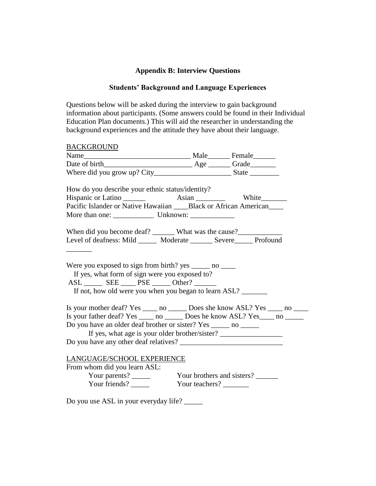# **Appendix B: Interview Questions**

# **Students' Background and Language Experiences**

Questions below will be asked during the interview to gain background information about participants. (Some answers could be found in their Individual Education Plan documents.) This will aid the researcher in understanding the background experiences and the attitude they have about their language.

| <b>BACKGROUND</b>                                                                                                                                                                                                                  |                |  |
|------------------------------------------------------------------------------------------------------------------------------------------------------------------------------------------------------------------------------------|----------------|--|
|                                                                                                                                                                                                                                    |                |  |
|                                                                                                                                                                                                                                    |                |  |
|                                                                                                                                                                                                                                    |                |  |
|                                                                                                                                                                                                                                    |                |  |
| How do you describe your ethnic status/identity?                                                                                                                                                                                   |                |  |
|                                                                                                                                                                                                                                    |                |  |
| Pacific Islander or Native Hawaiian ____Black or African American____                                                                                                                                                              |                |  |
|                                                                                                                                                                                                                                    |                |  |
|                                                                                                                                                                                                                                    |                |  |
|                                                                                                                                                                                                                                    |                |  |
| Level of deafness: Mild ______ Moderate ______ Severe_____ Profound                                                                                                                                                                |                |  |
|                                                                                                                                                                                                                                    |                |  |
| Were you exposed to sign from birth? yes $\_\_\_\_$ no $\_\_\_\_\$<br>If yes, what form of sign were you exposed to?<br>ASL ________ SEE ______ PSE ______ Other? _______<br>If not, how old were you when you began to learn ASL? |                |  |
| Is your mother deaf? Yes ______ no ________ Does she know ASL? Yes ______ no _____                                                                                                                                                 |                |  |
| Is your father deaf? Yes ______ no _________ Does he know ASL? Yes ______ no _______                                                                                                                                               |                |  |
| Do you have an older deaf brother or sister? Yes ______ no ______                                                                                                                                                                  |                |  |
| If yes, what age is your older brother/sister?                                                                                                                                                                                     |                |  |
|                                                                                                                                                                                                                                    |                |  |
|                                                                                                                                                                                                                                    |                |  |
| LANGUAGE/SCHOOL EXPERIENCE                                                                                                                                                                                                         |                |  |
| From whom did you learn ASL:                                                                                                                                                                                                       |                |  |
|                                                                                                                                                                                                                                    |                |  |
| Your friends?                                                                                                                                                                                                                      | Your teachers? |  |
|                                                                                                                                                                                                                                    |                |  |

Do you use ASL in your everyday life? \_\_\_\_\_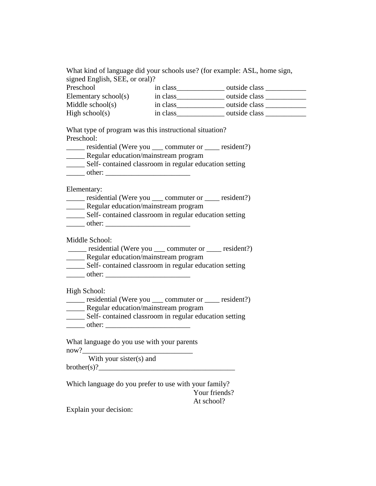What kind of language did your schools use? (for example: ASL, home sign, signed English, SEE, or oral)?

| Preschool            | in class | outside class |
|----------------------|----------|---------------|
| Elementary school(s) | in class | outside class |
| Middle school(s)     | in class | outside class |
| High school(s)       | in class | outside class |

What type of program was this instructional situation? Preschool:

| residential (Were you                | commuter or | resident?) |
|--------------------------------------|-------------|------------|
| Regular education/mainstream program |             |            |

\_\_\_\_\_ Self- contained classroom in regular education setting

| nther : |  |  |
|---------|--|--|
|         |  |  |

Elementary:

- \_\_\_\_\_ residential (Were you \_\_\_ commuter or \_\_\_\_ resident?) \_\_\_\_\_ Regular education/mainstream program
- \_\_\_\_\_ Self- contained classroom in regular education setting
- \_\_\_\_\_ other: \_\_\_\_\_\_\_\_\_\_\_\_\_\_\_\_\_\_\_\_\_\_\_

Middle School:

- \_\_\_\_\_ residential (Were you \_\_\_ commuter or \_\_\_\_ resident?)
- **EXECUTE:** Regular education/mainstream program
- \_\_\_\_\_ Self- contained classroom in regular education setting
- $\blacksquare$  other:

High School:

- \_\_\_\_\_ residential (Were you \_\_\_ commuter or \_\_\_\_ resident?) \_\_\_\_\_ Regular education/mainstream program
- \_\_\_\_\_ Self- contained classroom in regular education setting \_\_\_\_\_ other: \_\_\_\_\_\_\_\_\_\_\_\_\_\_\_\_\_\_\_\_\_\_\_
- 

What language do you use with your parents now?

With your sister(s) and  $b$ rother $(s)$ ?

Which language do you prefer to use with your family? Your friends? At school?

Explain your decision: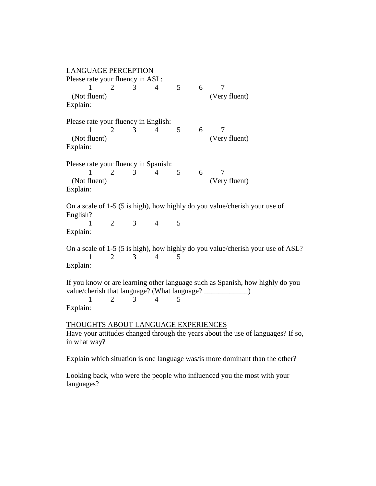| <b>LANGUAGE PERCEPTION</b>                                                                                                                                                                                   |  |  |  |  |
|--------------------------------------------------------------------------------------------------------------------------------------------------------------------------------------------------------------|--|--|--|--|
| Please rate your fluency in ASL:<br>5 <sup>5</sup><br>6<br>3<br>$\overline{4}$<br>$\overline{2}$<br>7<br>(Not fluent)<br>(Very fluent)<br>Explain:                                                           |  |  |  |  |
| Please rate your fluency in English:<br>5<br>2<br>6<br>7<br>3<br>$\overline{4}$<br>1<br>(Not fluent)<br>(Very fluent)<br>Explain:                                                                            |  |  |  |  |
| Please rate your fluency in Spanish:<br>3<br>6<br>1<br>$\overline{4}$<br>5<br>7<br>2<br>(Not fluent)<br>(Very fluent)<br>Explain:                                                                            |  |  |  |  |
| On a scale of 1-5 (5 is high), how highly do you value/cherish your use of<br>English?<br>$\overline{2}$<br>3<br>$\overline{4}$<br>5<br>Explain:                                                             |  |  |  |  |
| On a scale of 1-5 (5 is high), how highly do you value/cherish your use of ASL?<br>$\mathbf{1}$<br>$\overline{2}$<br>3<br>$\overline{4}$<br>5<br>Explain:                                                    |  |  |  |  |
| If you know or are learning other language such as Spanish, how highly do you<br>value/cherish that language? (What language? ______________)<br>1<br>$\overline{2}$<br>$\overline{4}$<br>3<br>5<br>Explain: |  |  |  |  |
| <b>THOUGHTS ABOUT LANGUAGE EXPERIENCES</b><br>Have your attitudes changed through the years about the use of languages? If so,<br>in what way?                                                               |  |  |  |  |
| Explain which situation is one language was/is more dominant than the other?                                                                                                                                 |  |  |  |  |

Looking back, who were the people who influenced you the most with your languages?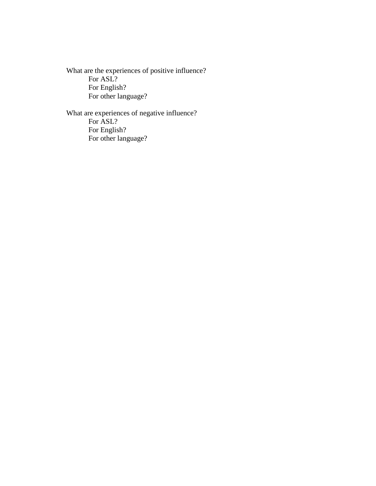What are the experiences of positive influence? For ASL? For English? For other language?

What are experiences of negative influence? For ASL? For English? For other language?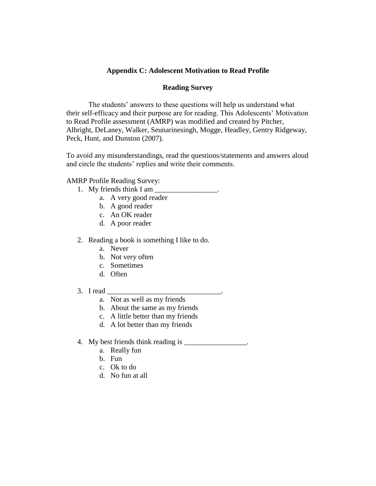# **Appendix C: Adolescent Motivation to Read Profile**

## **Reading Survey**

The students' answers to these questions will help us understand what their self-efficacy and their purpose are for reading. This Adolescents' Motivation to Read Profile assessment (AMRP) was modified and created by Pitcher, Albright, DeLaney, Walker, Seunarinesingh, Mogge, Headley, Gentry Ridgeway, Peck, Hunt, and Dunston (2007).

To avoid any misunderstandings, read the questions/statements and answers aloud and circle the students' replies and write their comments.

## AMRP Profile Reading Survey:

- 1. My friends think I am  $\overline{\phantom{a}}$ 
	- a. A very good reader
	- b. A good reader
	- c. An OK reader
	- d. A poor reader
- 2. Reading a book is something I like to do.
	- a. Never
	- b. Not very often
	- c. Sometimes
	- d. Often
- $3.$  I read
	- a. Not as well as my friends
	- b. About the same as my friends
	- c. A little better than my friends
	- d. A lot better than my friends
- 4. My best friends think reading is \_\_\_\_\_\_\_\_\_\_\_\_\_\_\_\_.
	- a. Really fun
	- b. Fun
	- c. Ok to do
	- d. No fun at all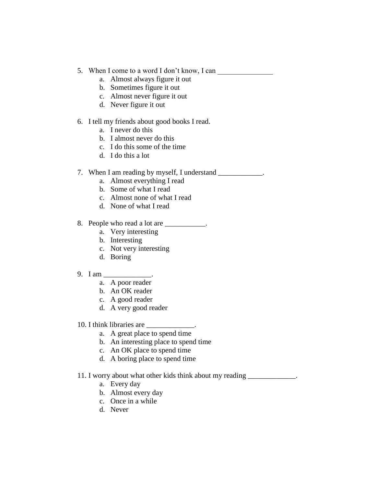- 5. When I come to a word I don't know, I can
	- a. Almost always figure it out
	- b. Sometimes figure it out
	- c. Almost never figure it out
	- d. Never figure it out

# 6. I tell my friends about good books I read.

- a. I never do this
- b. I almost never do this
- c. I do this some of the time
- d. I do this a lot

# 7. When I am reading by myself, I understand \_\_\_\_\_\_\_\_\_\_\_\_.

- a. Almost everything I read
- b. Some of what I read
- c. Almost none of what I read
- d. None of what I read

# 8. People who read a lot are \_\_\_\_\_\_\_\_\_\_.

- a. Very interesting
- b. Interesting
- c. Not very interesting
- d. Boring

# 9. I am \_\_\_\_\_\_\_\_\_\_\_\_\_\_.

- a. A poor reader
- b. An OK reader
- c. A good reader
- d. A very good reader

# 10. I think libraries are

- a. A great place to spend time
- b. An interesting place to spend time
- c. An OK place to spend time
- d. A boring place to spend time

# 11. I worry about what other kids think about my reading \_\_\_\_\_\_\_\_\_\_\_\_\_.

- a. Every day
- b. Almost every day
- c. Once in a while
- d. Never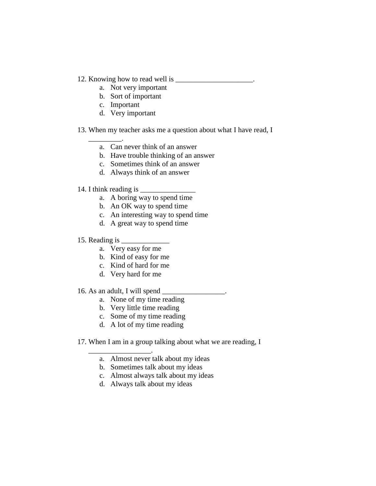- 12. Knowing how to read well is \_\_\_\_\_\_\_\_\_\_\_\_\_\_\_\_\_\_.
	- a. Not very important
	- b. Sort of important
	- c. Important
	- d. Very important
- 13. When my teacher asks me a question about what I have read, I
	- a. Can never think of an answer
	- b. Have trouble thinking of an answer
	- c. Sometimes think of an answer
	- d. Always think of an answer

## 14. I think reading is

\_\_\_\_\_\_\_\_\_.

- a. A boring way to spend time
- b. An OK way to spend time
- c. An interesting way to spend time
- d. A great way to spend time
- 15. Reading is
	- a. Very easy for me
	- b. Kind of easy for me
	- c. Kind of hard for me
	- d. Very hard for me
- 16. As an adult, I will spend \_\_\_\_\_\_\_\_\_\_\_\_\_\_\_\_\_.

\_\_\_\_\_\_\_\_\_\_\_\_\_\_\_\_\_.

- a. None of my time reading
- b. Very little time reading
- c. Some of my time reading
- d. A lot of my time reading
- 17. When I am in a group talking about what we are reading, I
	- a. Almost never talk about my ideas
	- b. Sometimes talk about my ideas
	- c. Almost always talk about my ideas
	- d. Always talk about my ideas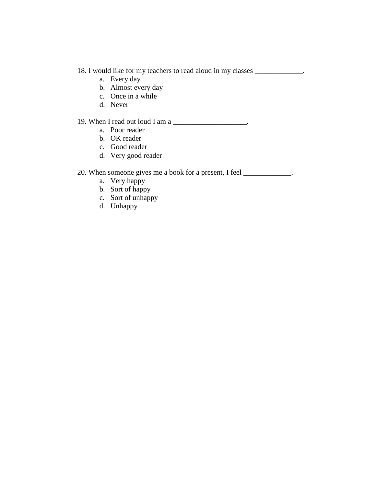# 18. I would like for my teachers to read aloud in my classes \_\_\_\_\_\_\_\_\_\_\_\_\_.

- a. Every day
- b. Almost every day
- c. Once in a while
- d. Never

# 19. When I read out loud I am a

- a. Poor reader
- b. OK reader
- c. Good reader
- d. Very good reader

# 20. When someone gives me a book for a present, I feel \_\_\_\_\_\_\_\_\_\_\_\_\_.

- a. Very happy
- b. Sort of happy
- c. Sort of unhappy
- d. Unhappy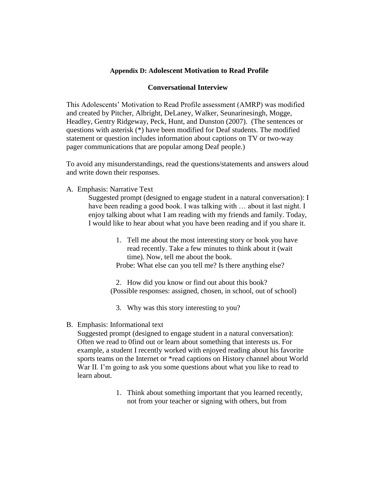# **Appendix D: Adolescent Motivation to Read Profile**

## **Conversational Interview**

This Adolescents' Motivation to Read Profile assessment (AMRP) was modified and created by Pitcher, Albright, DeLaney, Walker, Seunarinesingh, Mogge, Headley, Gentry Ridgeway, Peck, Hunt, and Dunston (2007). (The sentences or questions with asterisk (\*) have been modified for Deaf students. The modified statement or question includes information about captions on TV or two-way pager communications that are popular among Deaf people.)

To avoid any misunderstandings, read the questions/statements and answers aloud and write down their responses.

A. Emphasis: Narrative Text

Suggested prompt (designed to engage student in a natural conversation): I have been reading a good book. I was talking with ... about it last night. I enjoy talking about what I am reading with my friends and family. Today, I would like to hear about what you have been reading and if you share it.

> 1. Tell me about the most interesting story or book you have read recently. Take a few minutes to think about it (wait time). Now, tell me about the book. Probe: What else can you tell me? Is there anything else?

2. How did you know or find out about this book? (Possible responses: assigned, chosen, in school, out of school)

3. Why was this story interesting to you?

B. Emphasis: Informational text

Suggested prompt (designed to engage student in a natural conversation): Often we read to 0find out or learn about something that interests us. For example, a student I recently worked with enjoyed reading about his favorite sports teams on the Internet or \*read captions on History channel about World War II. I'm going to ask you some questions about what you like to read to learn about.

> 1. Think about something important that you learned recently, not from your teacher or signing with others, but from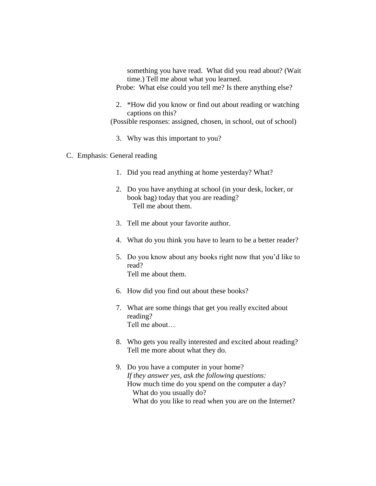something you have read. What did you read about? (Wait time.) Tell me about what you learned.

Probe: What else could you tell me? Is there anything else?

2. \*How did you know or find out about reading or watching captions on this?

(Possible responses: assigned, chosen, in school, out of school)

- 3. Why was this important to you?
- C. Emphasis: General reading
	- 1. Did you read anything at home yesterday? What?
	- 2. Do you have anything at school (in your desk, locker, or book bag) today that you are reading? Tell me about them.
	- 3. Tell me about your favorite author.
	- 4. What do you think you have to learn to be a better reader?
	- 5. Do you know about any books right now that you'd like to read? Tell me about them.
	- 6. How did you find out about these books?
	- 7. What are some things that get you really excited about reading? Tell me about…
	- 8. Who gets you really interested and excited about reading? Tell me more about what they do.
	- 9. Do you have a computer in your home? *If they answer yes, ask the following questions:*  How much time do you spend on the computer a day? What do you usually do? What do you like to read when you are on the Internet?